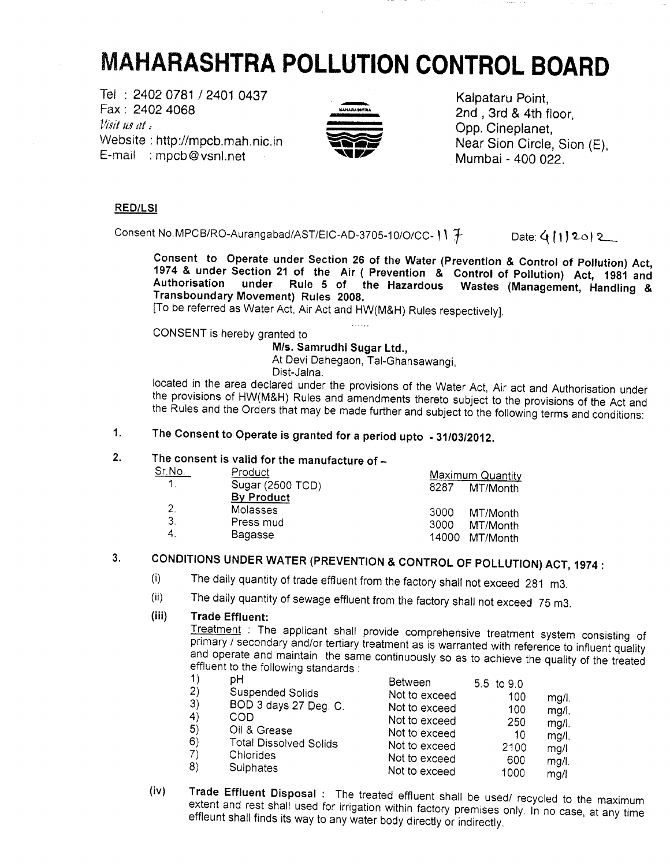# **MAHARASHTRA POLLUTION CONTROL BOARD**

Tei : 2402 0781 / 2401 0437 Kalpataru Point, Fax : 2402 4068 •""""»"•" 2nd , 3rd & 4th floor, Visit us at. Website : http://mpcb.mah.nic.in  $\bullet$  Near Sion Circle, Sion (E), E-mai! : mpcb@vsnl.net ^SIW' Mumbai - 400 022.



#### **RED/LSI**

Consent No.MPCB/RO-Aurangabad/AST/EIC-AD-3705-10/O/CC-  $\|\uparrow\|$  Date:  $\langle\{\uparrow\}\rangle$  20) 2

**Consent to Operate under Section 26 of the Water (Prevention & Control of Pollution) Act, 1974 & under Section 21 of the Air ( Prevention & Control of Pollution) Act, 1981 and Authorisation under Rule 5 of the Hazardous Wastes (Management, Handling &** Authorisation under Rule 5 of the Hazardous Wastes (Management, Handling & Transboundary Movement) Rules 2008.

[To be referred as Water Act, Air Act and HW(M&H) Rules respectively].

CONSENT is hereby granted to

**M/s. Samrudhi Sugar Ltd.,**

At Devi Dahegaon, Tal-Ghansawangi,

 $\ldots$ 

Dist-Jalna.

located in the area declared under the provisions of the Water Act, Air act and Authorisation under the provisions of HW(M&H) Rules and amendments thereto subject to the provisions of the Act and the Rules and the Orders that may be made further and subject to the following terms and conditions:

# **1. The Consent to Operate is granted for a period upto -31/03/2012.**

## **2. The consent is valid for the manufacture of -**

| Sr.No.       | Product                          |              | <b>Maximum Quantity</b>                |
|--------------|----------------------------------|--------------|----------------------------------------|
| $\mathbf{1}$ | Sugar (2500 TCD)<br>By Product   | 8287         | MT/Month                               |
| 3<br>-4.     | Molasses<br>Press mud<br>Bagasse | 3000<br>3000 | MT/Month<br>MT/Month<br>14000 MT/Month |

# **3. CONDITIONS UNDER WATER (PREVENTION & CONTROL OF POLLUTION) ACT, 1974 :**

- (i) The daily quantity of trade effluent from the factory shall not exceed 281 m3.
- (ii) The daily quantity of sewage effluent from the factory shall not exceed 75 m3.

#### **(iii) Trade Effluent:**

Treatment : The applicant shall provide comprehensive treatment system consisting of primary / secondary and/or tertiary treatment as is warranted with reference to influent quality and operate and maintain the same continuously so as to achieve the quality of the treated effluent to the following standards :

| 1) | pН                            | Between       | 5.5 to 9.0 |          |
|----|-------------------------------|---------------|------------|----------|
| 2) | <b>Suspended Solids</b>       | Not to exceed | 100        | mg/l.    |
| 3) | BOD 3 days 27 Deg. C.         | Not to exceed | 100        | mq/l.    |
| 4) | COD                           | Not to exceed | 250        | $mg/l$ . |
| 5) | Oil & Grease                  | Not to exceed | 10         | $mq/l$ . |
| 6) | <b>Total Dissolved Solids</b> | Not to exceed | 2100       | mg/      |
| 7) | Chlorides                     | Not to exceed | 600        | mg/l.    |
| 8) | Sulphates                     | Not to exceed | 1000       | ma/l     |

**(iv) Trade Effluent Disposal** : The treated effluent shall be used/ recycled to the maximum extent and rest shall used for irrigation within factory premises only. In no case, at any time effleunt shall finds its way to any water body directly or indirectly.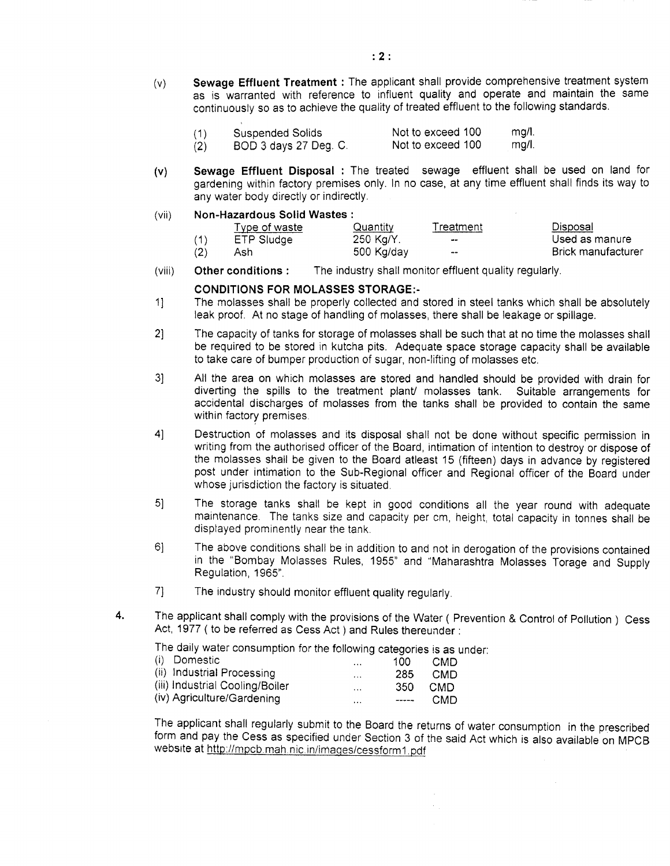(v) **Sewage Effluent Treatment**: The applicant shall provide comprehensive treatment system as is warranted with reference to influent quality and operate and maintain the same continuously so as to achieve the quality of treated effluent to the following standards.

| (1) | <b>Suspended Solids</b> | Not to exceed 100 | mg/l. |
|-----|-------------------------|-------------------|-------|
| (2) | BOD 3 days 27 Deg. C.   | Not to exceed 100 | mg/l. |

**(v) Sewage Effluent Disposal** : The treated sewage effluent shall be used on land for gardening within factory premises only. In no case, at any time effluent shall finds its way to any water body directly or indirectly.

#### (vii) **Non-Hazardous Solid Wastes :**

|     | Type of waste | Quantity   | Treatment                | Disposal                  |
|-----|---------------|------------|--------------------------|---------------------------|
|     | ETP Sludge    | 250 Kg/Y.  | -                        | Used as manure            |
| (2) | Ash           | 500 Kg/day | $\overline{\phantom{m}}$ | <b>Brick manufacturer</b> |

 $\mathcal{L}_{\mathcal{L}}$ 

(viii) **Other conditions** : The industry shall monitor effluent quality regularly.

#### **CONDITIONS FOR MOLASSES STORAGE:-**

- 1] The molasses shall be properly collected and stored in steel tanks which shall be absolutely leak proof. At no stage of handling of molasses, there shall be leakage or spillage.
- 2] The capacity of tanks for storage of molasses shall be such that at no time the molasses shall be required to be stored in kutcha pits. Adequate space storage capacity shall be available to take care of bumper production of sugar, non-lifting of molasses etc.
- 3] All the area on which molasses are stored and handled should be provided with drain for diverting the spills to the treatment plant/ molasses tank. Suitable arrangements for accidental discharges of molasses from the tanks shall be provided to contain the same within factory premises.
- 4] Destruction of molasses and its disposal shall not be done without specific permission in writing from the authorised officer of the Board, intimation of intention to destroy or dispose of the molasses shall be given to the Board atleast 15 (fifteen) days in advance by registered post under intimation to the Sub-Regional officer and Regional officer of the Board under whose jurisdiction the factory is situated.
- 5] The storage tanks shall be kept in good conditions all the year round with adequate maintenance. The tanks size and capacity per cm, height, total capacity in tonnes shall be displayed prominently near the tank.
- 6] The above conditions shall be in addition to and not in derogation of the provisions contained in the "Bombay Molasses Rules, 1955" and "Maharashtra Molasses Torage and Supply Regulation, 1965".
- 7] The industry should monitor effluent quality regularly.
- 4. The applicant shall comply with the provisions of the Water ( Prevention & Control of Pollution ) Cess Act, 1977 ( to be referred as Cess Act ) and Rules thereunder:

The daily water consumption for the following categories is as under:

| (i) Domestic                    | $\cdots$ | 100   | CMD        |
|---------------------------------|----------|-------|------------|
| (ii) Industrial Processing      | $\cdots$ | 285   | CMD        |
| (iii) Industrial Cooling/Boiler | $\cdots$ | 350   | <b>CMD</b> |
| (iv) Agriculture/Gardening      | $\cdots$ | $---$ | CMD        |

The applicant shall regularly submit to the Board the returns of water consumption in the prescribed form and pay the Cess as specified under Section 3 of the said Act which is also available on MPCB website at http://mpcb.mah.nic.in/images/cessform1.pdf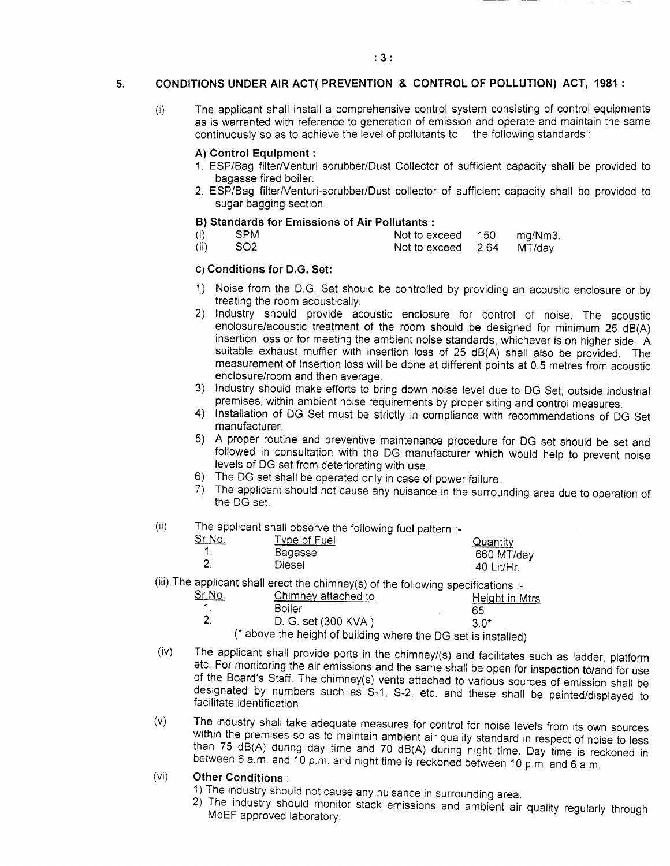#### **5. CONDITIONS UNDER AIR ACT( PREVENTION & CONTROL OF POLLUTION) ACT, 1981 :**

(i) The applicant shall install a comprehensive control system consisting of control equipments as is warranted with reference to generation of emission and operate and maintain the same continuously so as to achieve the level of pollutants to the following standards :

#### **A) Control Equipment:**

- 1. ESP/Bag filter/Venturi scrubber/Dust Collector of sufficient capacity shall be provided to bagasse fired boiler.
- 2. ESP/Bag filter/Venturi-scrubber/Dust collector of sufficient capacity shall be provided to sugar bagging section.

#### **B) Standards for Emissions of Air Pollutants :**

- (i) SPM Not to exceed 150 mg/Nm3.
- $(i)$  SO2 Not to exceed 2.64 MT/day

#### **O Conditions for D.G. Set:**

- 1) Noise from the D.G. Set should be controlled by providing an acoustic enclosure or by treating the room acoustically.
- 2) Industry should provide acoustic enclosure for control of noise. The acoustic enclosure/acoustic treatment of the room should be designed for minimum 25 dB(A) insertion loss or for meeting the ambient noise standards, whichever is on higher side. A suitable exhaust muffler with insertion loss of 25 dB(A) shall also be provided. The measurement of Insertion loss will be done at different points at 0.5 metres from acoustic enclosure/room and then average.
- 3) Industry should make efforts to bring down noise level due to DG Set, outside industrial premises, within ambient noise requirements by proper siting and control measures.
- 4) Installation of DG Set must be strictly in compliance with recommendations of DG Set manufacturer.
- 5) A proper routine and preventive maintenance procedure for DG set should be set and followed in consultation with the DG manufacturer which would help to prevent noise levels of DG set from deteriorating with use.
- 6) The DG set shall be operated only in case of power failure.
- 7) The applicant should not cause any nuisance in the surrounding area due to operation of the DG set.

#### $\mathbf{ii)}$  The applicant shall observe the following fuel pattern  $\mathbf{b}$

|                 |              | .          |
|-----------------|--------------|------------|
| <u> Sr. No.</u> | Type of Fuel | Quantity   |
|                 | Bagasse      | 660 MT/day |
|                 | Diesel       | 40 Lit/Hr. |

 $\overline{ii}$ ) The applicant shall erect the chimney(s) of the following specifications  $\overline{ii}$ 

| Sr.No. | Chimney attached to                                            | Height in Mtrs. |
|--------|----------------------------------------------------------------|-----------------|
|        | Boiler                                                         | 65              |
|        | D. G. set (300 KVA)                                            | 3 O*            |
|        | (* above the height of building where the DG set is installed) |                 |

- (iv) The applicant shall provide ports in the chimney/(s) and facilitates such as ladder, platform etc. For monitoring the air emissions and the same shall be open for inspection to/and for use of the Board's Staff. The chimney(s) vents attached to various sources of emission shall be designated by numbers such as S-1, S-2, etc. and these shall be painted/displayed to
- (v) The industry shall take adequate measures for control for noise levels from its own sources within the premises so as to maintain ambient air quality standard in respect of noise to less than 75 dB(A) during day time and 70 dB(A) during night time. Day time is reckoned in between 6 a.m. and 10 p.m. and night time is reckoned between 10 p.m. and 6 a.m.

#### (vi) **Other Conditions :**

facilitate identification.

- 1) The industry should not cause any nuisance in surrounding area.
- 2) The industry should monitor stack emissions and ambient air quality regularly through MoEF approved laboratory.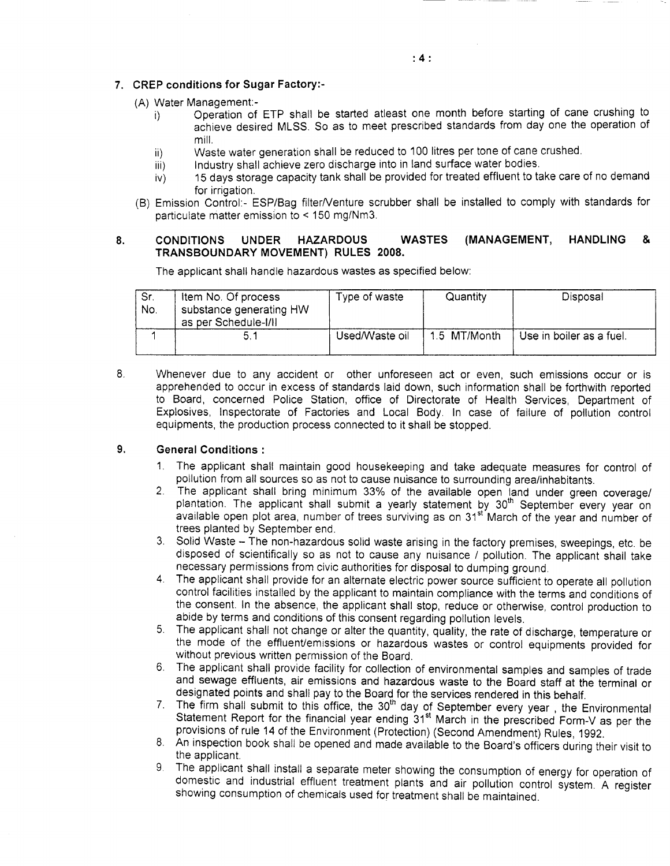#### **7. CREP conditions for Sugar Factory:-**

- (A) Water Management:-
	- Operation of ETP shall be started atleast one month before starting of cane crushing to i) achieve desired MLSS. So as to meet prescribed standards from day one the operation of mill.
	- Waste water generation shall be reduced to 100 litres per tone of cane crushed. ii)
	- Industry shall achieve zero discharge into in land surface water bodies. iii)
	- 15 days storage capacity tank shall be provided for treated effluent to take care of no demand  $\mathsf{iv}$ for irrigation.
- (B) Emission Control:- ESP/Bag filter/Venture scrubber shall be installed to comply with standards for particulate matter emission to < 150 mg/Nm3.

#### 8. **CONDITIONS UNDER HAZARDOUS WASTES (MANAGEMENT, HANDLING & TRANSBOUNDARY MOVEMENT) RULES 2008.**

The applicant shall handle hazardous wastes as specified below:

| Sr.<br>No. | Item No. Of process<br>substance generating HW<br>as per Schedule-I/II | Type of waste  | Quantity     | Disposal                 |
|------------|------------------------------------------------------------------------|----------------|--------------|--------------------------|
|            | 5.                                                                     | Used/Waste oil | 1.5 MT/Month | Use in boiler as a fuel. |

8. Whenever due to any accident or other unforeseen act or even, such emissions occur or is apprehended to occur in excess of standards laid down, such information shall be forthwith reported to Board, concerned Police Station, office of Directorate of Health Services, Department of Explosives, Inspectorate of Factories and Local Body. In case of failure of pollution control equipments, the production process connected to it shall be stopped.

#### 9. **General Conditions :**

- 1. The applicant shall maintain good housekeeping and take adequate measures for control of pollution from all sources so as not to cause nuisance to surrounding area/inhabitants.
- 2. The applicant shall bring minimum 33% of the available open land under green coverage/ plantation. The applicant shall submit a yearly statement by 30<sup>th</sup> September every year on available open plot area, number of trees surviving as on 31<sup>st</sup> March of the year and number of trees planted by September end.
- 3. Solid Waste The non-hazardous solid waste arising in the factory premises, sweepings, etc. be disposed of scientifically so as not to cause any nuisance / pollution. The applicant shall take necessary permissions from civic authorities for disposal to dumping ground.
- 4. The applicant shall provide for an alternate electric power source sufficient to operate all pollution control facilities installed by the applicant to maintain compliance with the terms and conditions of the consent. In the absence, the applicant shall stop, reduce or otherwise, control production to abide by terms and conditions of this consent regarding pollution levels.
- 5. The applicant shall not change or alter the quantity, quality, the rate of discharge, temperature or the mode of the effluent/emissions or hazardous wastes or control equipments provided for without previous written permission of the Board.
- 6. The applicant shall provide facility for collection of environmental samples and samples of trade and sewage effluents, air emissions and hazardous waste to the Board staff at the terminal or designated points and shall pay to the Board for the services rendered in this behalf.
- 7. The firm shall submit to this office, the 30<sup>th</sup> day of September every year, the Environmental Statement Report for the financial year ending 31<sup>st</sup> March in the prescribed Form-V as per the provisions of rule 14 of the Environment (Protection) (Second Amendment) Rules, 1992.
- 8. An inspection book shall be opened and made available to the Board's officers during their visit to the applicant.
- 9. The applicant shall install a separate meter showing the consumption of energy for operation of domestic and industrial effluent treatment plants and air pollution control system. A register showing consumption of chemicals used for treatment shall be maintained.